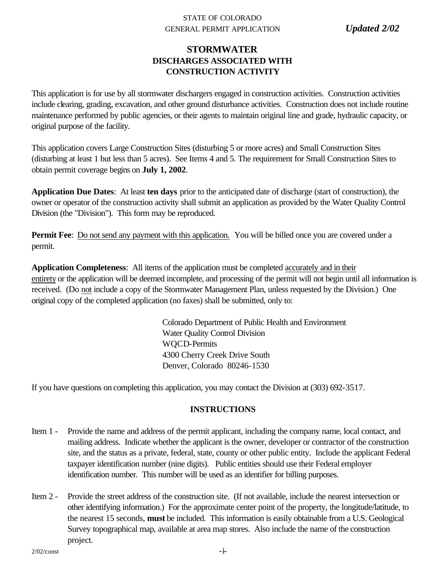## STATE OF COLORADO GENERAL PERMIT APPLICATION *Updated 2/02*

# **STORMWATER DISCHARGES ASSOCIATED WITH CONSTRUCTION ACTIVITY**

This application is for use by all stormwater dischargers engaged in construction activities. Construction activities include clearing, grading, excavation, and other ground disturbance activities. Construction does not include routine maintenance performed by public agencies, or their agents to maintain original line and grade, hydraulic capacity, or original purpose of the facility.

This application covers Large Construction Sites (disturbing 5 or more acres) and Small Construction Sites (disturbing at least 1 but less than 5 acres). See Items 4 and 5. The requirement for Small Construction Sites to obtain permit coverage begins on **July 1, 2002**.

**Application Due Dates**: At least **ten days** prior to the anticipated date of discharge (start of construction), the owner or operator of the construction activity shall submit an application as provided by the Water Quality Control Division (the "Division"). This form may be reproduced.

**Permit Fee**: Do not send any payment with this application. You will be billed once you are covered under a permit.

**Application Completeness**: All items of the application must be completed accurately and in their entirety or the application will be deemed incomplete, and processing of the permit will not begin until all information is received. (Do not include a copy of the Stormwater Management Plan, unless requested by the Division.) One original copy of the completed application (no faxes) shall be submitted, only to:

> Colorado Department of Public Health and Environment Water Quality Control Division WQCD-Permits 4300 Cherry Creek Drive South Denver, Colorado 80246-1530

If you have questions on completing this application, you may contact the Division at (303) 692-3517.

# **INSTRUCTIONS**

- Item 1 Provide the name and address of the permit applicant, including the company name, local contact, and mailing address. Indicate whether the applicant is the owner, developer or contractor of the construction site, and the status as a private, federal, state, county or other public entity. Include the applicant Federal taxpayer identification number (nine digits). Public entities should use their Federal employer identification number. This number will be used as an identifier for billing purposes.
- Item 2 Provide the street address of the construction site. (If not available, include the nearest intersection or other identifying information.) For the approximate center point of the property, the longitude/latitude, to the nearest 15 seconds, **must** be included. This information is easily obtainable from a U.S. Geological Survey topographical map, available at area map stores. Also include the name of the construction project.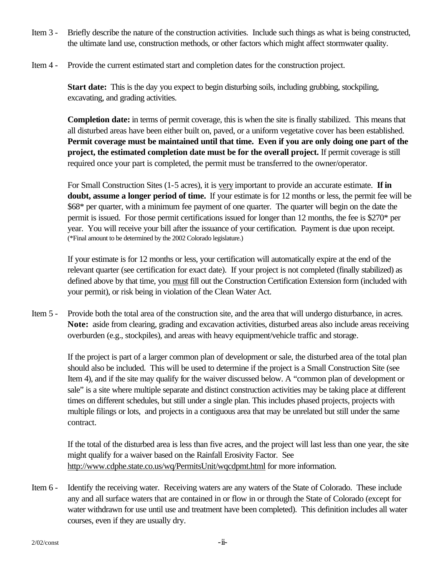- Item 3 Briefly describe the nature of the construction activities. Include such things as what is being constructed, the ultimate land use, construction methods, or other factors which might affect stormwater quality.
- Item 4 Provide the current estimated start and completion dates for the construction project.

**Start date:** This is the day you expect to begin disturbing soils, including grubbing, stockpiling, excavating, and grading activities.

**Completion date:** in terms of permit coverage, this is when the site is finally stabilized. This means that all disturbed areas have been either built on, paved, or a uniform vegetative cover has been established. **Permit coverage must be maintained until that time. Even if you are only doing one part of the project, the estimated completion date must be for the overall project.** If permit coverage is still required once your part is completed, the permit must be transferred to the owner/operator.

For Small Construction Sites (1-5 acres), it is very important to provide an accurate estimate. **If in doubt, assume a longer period of time.** If your estimate is for 12 months or less, the permit fee will be \$68\* per quarter, with a minimum fee payment of one quarter. The quarter will begin on the date the permit is issued. For those permit certifications issued for longer than 12 months, the fee is \$270\* per year. You will receive your bill after the issuance of your certification. Payment is due upon receipt. (\*Final amount to be determined by the 2002 Colorado legislature.)

If your estimate is for 12 months or less, your certification will automatically expire at the end of the relevant quarter (see certification for exact date). If your project is not completed (finally stabilized) as defined above by that time, you must fill out the Construction Certification Extension form (included with your permit), or risk being in violation of the Clean Water Act.

Item 5 - Provide both the total area of the construction site, and the area that will undergo disturbance, in acres. **Note:** aside from clearing, grading and excavation activities, disturbed areas also include areas receiving overburden (e.g., stockpiles), and areas with heavy equipment/vehicle traffic and storage.

If the project is part of a larger common plan of development or sale, the disturbed area of the total plan should also be included. This will be used to determine if the project is a Small Construction Site (see Item 4), and if the site may qualify for the waiver discussed below. A "common plan of development or sale" is a site where multiple separate and distinct construction activities may be taking place at different times on different schedules, but still under a single plan. This includes phased projects, projects with multiple filings or lots, and projects in a contiguous area that may be unrelated but still under the same contract.

If the total of the disturbed area is less than five acres, and the project will last less than one year, the site might qualify for a waiver based on the Rainfall Erosivity Factor. See http://www.cdphe.state.co.us/wq/PermitsUnit/wqcdpmt.html for more information.

Item 6 - Identify the receiving water. Receiving waters are any waters of the State of Colorado. These include any and all surface waters that are contained in or flow in or through the State of Colorado (except for water withdrawn for use until use and treatment have been completed). This definition includes all water courses, even if they are usually dry.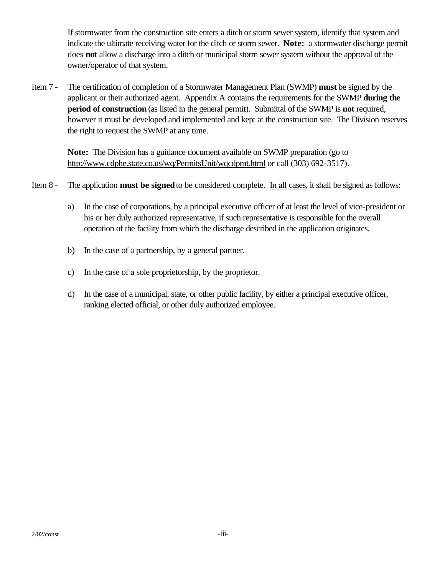If stormwater from the construction site enters a ditch or storm sewer system, identify that system and indicate the ultimate receiving water for the ditch or storm sewer. **Note:** a stormwater discharge permit does **not** allow a discharge into a ditch or municipal storm sewer system without the approval of the owner/operator of that system.

Item 7 - The certification of completion of a Stormwater Management Plan (SWMP) **must** be signed by the applicant or their authorized agent. Appendix A contains the requirements for the SWMP **during the period of construction** (as listed in the general permit). Submittal of the SWMP is **not** required, however it must be developed and implemented and kept at the construction site. The Division reserves the right to request the SWMP at any time.

**Note:** The Division has a guidance document available on SWMP preparation (go to http://www.cdphe.state.co.us/wq/PermitsUnit/wqcdpmt.html or call (303) 692-3517).

# Item 8 - The application **must be signed** to be considered complete. In all cases, it shall be signed as follows:

- a) In the case of corporations, by a principal executive officer of at least the level of vice-president or his or her duly authorized representative, if such representative is responsible for the overall operation of the facility from which the discharge described in the application originates.
- b) In the case of a partnership, by a general partner.
- c) In the case of a sole proprietorship, by the proprietor.
- d) In the case of a municipal, state, or other public facility, by either a principal executive officer, ranking elected official, or other duly authorized employee.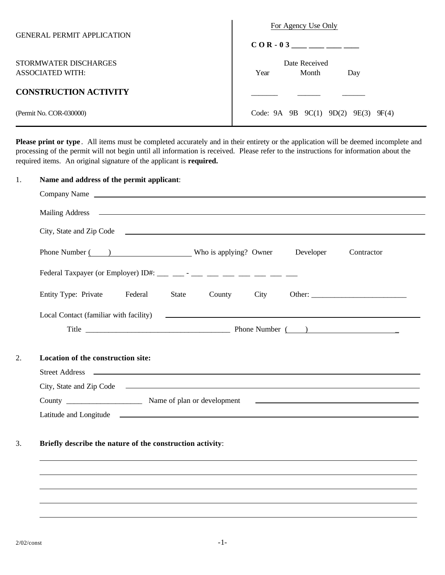| <b>GENERAL PERMIT APPLICATION</b>         | For Agency Use Only                                           |
|-------------------------------------------|---------------------------------------------------------------|
|                                           | $COR - 03$ _________                                          |
| STORMWATER DISCHARGES<br>ASSOCIATED WITH: | Date Received<br>Month<br>Year<br>Day                         |
| <b>CONSTRUCTION ACTIVITY</b>              |                                                               |
| (Permit No. COR-030000)                   | Code: $9A \quad 9B \quad 9C(1) \quad 9D(2)$<br>9E(3)<br>9F(4) |

**Please print or type** . All items must be completed accurately and in their entirety or the application will be deemed incomplete and processing of the permit will not begin until all information is received. Please refer to the instructions for information about the required items. An original signature of the applicant is **required.**

|  | Name and address of the permit applicant:                                                                                                                                                                                            |  |  |
|--|--------------------------------------------------------------------------------------------------------------------------------------------------------------------------------------------------------------------------------------|--|--|
|  |                                                                                                                                                                                                                                      |  |  |
|  | Mailing Address <b>and a structure of the contract of the contract of the contract of the contract of the contract of the contract of the contract of the contract of the contract of the contract of the contract of the contra</b> |  |  |
|  |                                                                                                                                                                                                                                      |  |  |
|  | Phone Number ( ) Who is applying? Owner Developer<br>Contractor                                                                                                                                                                      |  |  |
|  |                                                                                                                                                                                                                                      |  |  |
|  | Entity Type: Private Federal<br>State<br>County<br>City                                                                                                                                                                              |  |  |
|  |                                                                                                                                                                                                                                      |  |  |
|  |                                                                                                                                                                                                                                      |  |  |
|  | Location of the construction site:                                                                                                                                                                                                   |  |  |
|  | City, State and Zip Code Contact Contact City, State and Zip Code Contact Contact City, State and Zip Code                                                                                                                           |  |  |
|  |                                                                                                                                                                                                                                      |  |  |
|  |                                                                                                                                                                                                                                      |  |  |
|  | Briefly describe the nature of the construction activity:                                                                                                                                                                            |  |  |
|  |                                                                                                                                                                                                                                      |  |  |
|  |                                                                                                                                                                                                                                      |  |  |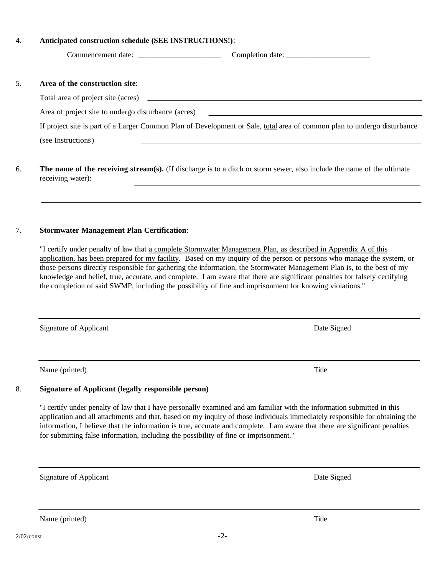### 4. **Anticipated construction schedule (SEE INSTRUCTIONS!)**:

Commencement date: \_\_\_\_\_\_\_\_\_\_\_\_\_\_\_\_\_\_\_\_\_\_ Completion date: \_\_\_\_\_\_\_\_\_\_\_\_\_\_\_\_\_\_\_\_\_\_

### 5. **Area of the construction site**:

Total area of project site (acres)

Area of project site to undergo disturbance (acres)

If project site is part of a Larger Common Plan of Development or Sale, total area of common plan to undergo disturbance (see Instructions)

6. **The name of the receiving stream(s).** (If discharge is to a ditch or storm sewer, also include the name of the ultimate receiving water):

### 7. **Stormwater Management Plan Certification**:

"I certify under penalty of law that a complete Stormwater Management Plan, as described in Appendix A of this application, has been prepared for my facility. Based on my inquiry of the person or persons who manage the system, or those persons directly responsible for gathering the information, the Stormwater Management Plan is, to the best of my knowledge and belief, true, accurate, and complete. I am aware that there are significant penalties for falsely certifying the completion of said SWMP, including the possibility of fine and imprisonment for knowing violations."

Signature of Applicant Date Signed Date Signed Date Signed

Name (printed) Title

## 8. **Signature of Applicant (legally responsible person)**

"I certify under penalty of law that I have personally examined and am familiar with the information submitted in this application and all attachments and that, based on my inquiry of those individuals immediately responsible for obtaining the information, I believe that the information is true, accurate and complete. I am aware that there are significant penalties for submitting false information, including the possibility of fine or imprisonment."

Signature of Applicant Date Signed Date Signed Date Signed

Name (printed) Title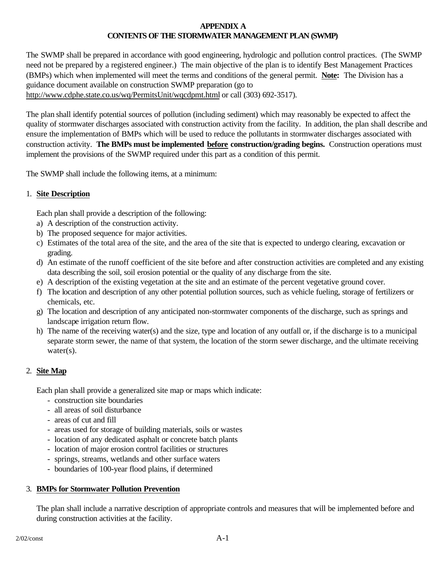## **APPENDIX A CONTENTS OF THE STORMWATER MANAGEMENT PLAN (SWMP)**

The SWMP shall be prepared in accordance with good engineering, hydrologic and pollution control practices. (The SWMP need not be prepared by a registered engineer.) The main objective of the plan is to identify Best Management Practices (BMPs) which when implemented will meet the terms and conditions of the general permit. **Note:** The Division has a guidance document available on construction SWMP preparation (go to http://www.cdphe.state.co.us/wq/PermitsUnit/wqcdpmt.html or call (303) 692-3517).

The plan shall identify potential sources of pollution (including sediment) which may reasonably be expected to affect the quality of stormwater discharges associated with construction activity from the facility. In addition, the plan shall describe and ensure the implementation of BMPs which will be used to reduce the pollutants in stormwater discharges associated with construction activity. **The BMPs must be implemented before construction/grading begins.** Construction operations must implement the provisions of the SWMP required under this part as a condition of this permit.

The SWMP shall include the following items, at a minimum:

## 1. **Site Description**

Each plan shall provide a description of the following:

- a) A description of the construction activity.
- b) The proposed sequence for major activities.
- c) Estimates of the total area of the site, and the area of the site that is expected to undergo clearing, excavation or grading.
- d) An estimate of the runoff coefficient of the site before and after construction activities are completed and any existing data describing the soil, soil erosion potential or the quality of any discharge from the site.
- e) A description of the existing vegetation at the site and an estimate of the percent vegetative ground cover.
- f) The location and description of any other potential pollution sources, such as vehicle fueling, storage of fertilizers or chemicals, etc.
- g) The location and description of any anticipated non-stormwater components of the discharge, such as springs and landscape irrigation return flow.
- h) The name of the receiving water(s) and the size, type and location of any outfall or, if the discharge is to a municipal separate storm sewer, the name of that system, the location of the storm sewer discharge, and the ultimate receiving water(s).

## 2. **Site Map**

Each plan shall provide a generalized site map or maps which indicate:

- construction site boundaries
- all areas of soil disturbance
- areas of cut and fill
- areas used for storage of building materials, soils or wastes
- location of any dedicated asphalt or concrete batch plants
- location of major erosion control facilities or structures
- springs, streams, wetlands and other surface waters
- boundaries of 100-year flood plains, if determined

#### 3. **BMPs for Stormwater Pollution Prevention**

The plan shall include a narrative description of appropriate controls and measures that will be implemented before and during construction activities at the facility.